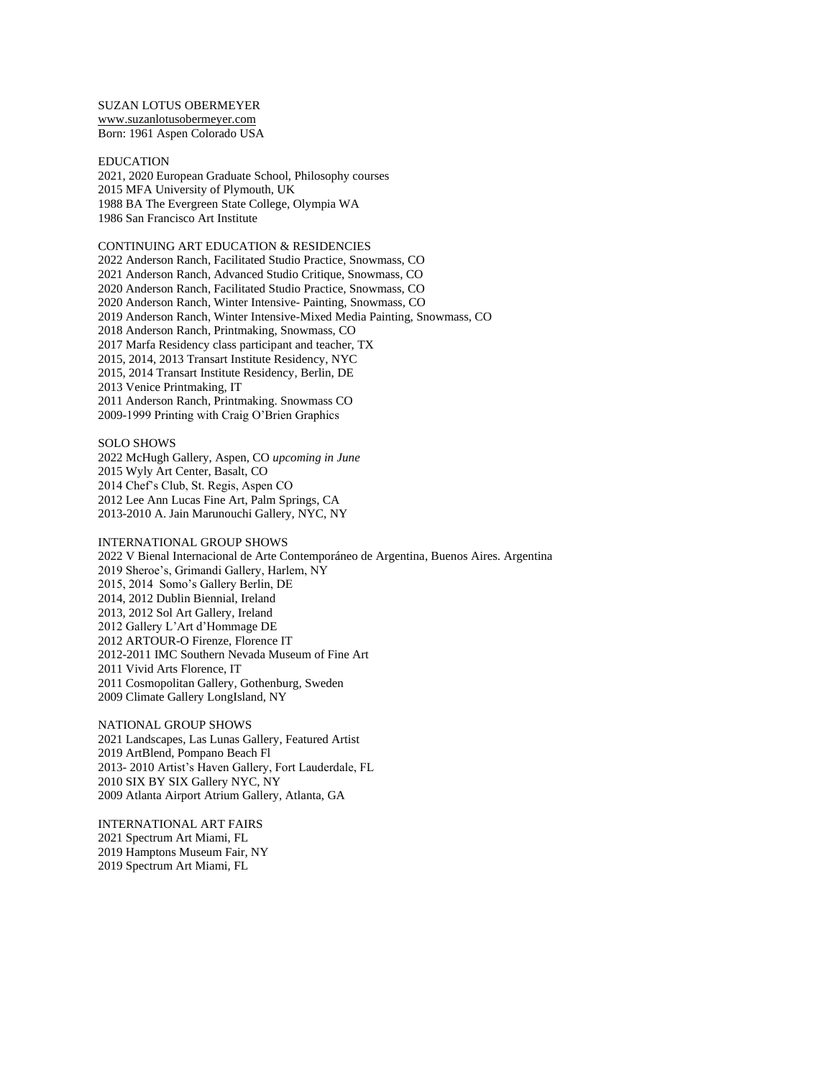SUZAN LOTUS OBERMEYER [www.suzanlotusobermeyer.com](http://www.suzanlotusobermeyer.com/)

Born: 1961 Aspen Colorado USA

EDUCATION 2021, 2020 European Graduate School, Philosophy courses 2015 MFA University of Plymouth, UK 1988 BA The Evergreen State College, Olympia WA 1986 San Francisco Art Institute

## CONTINUING ART EDUCATION & RESIDENCIES 2022 Anderson Ranch, Facilitated Studio Practice, Snowmass, CO 2021 Anderson Ranch, Advanced Studio Critique, Snowmass, CO 2020 Anderson Ranch, Facilitated Studio Practice, Snowmass, CO 2020 Anderson Ranch, Winter Intensive- Painting, Snowmass, CO 2019 Anderson Ranch, Winter Intensive-Mixed Media Painting, Snowmass, CO 2018 Anderson Ranch, Printmaking, Snowmass, CO 2017 Marfa Residency class participant and teacher, TX 2015, 2014, 2013 Transart Institute Residency, NYC 2015, 2014 Transart Institute Residency, Berlin, DE 2013 Venice Printmaking, IT 2011 Anderson Ranch, Printmaking. Snowmass CO 2009-1999 Printing with Craig O'Brien Graphics

SOLO SHOWS 2022 McHugh Gallery, Aspen, CO *upcoming in June* 2015 Wyly Art Center, Basalt, CO 2014 Chef's Club, St. Regis, Aspen CO 2012 Lee Ann Lucas Fine Art, Palm Springs, CA 2013-2010 A. Jain Marunouchi Gallery, NYC, NY

INTERNATIONAL GROUP SHOWS 2022 [V Bienal Internacional de Arte Contemporáneo de Argentina,](https://www.arteinformado.com/agenda/f/v-bienal-internacional-de-arte-contemporaneo-de-argentina-211399) Buenos Aires. Argentina 2019 Sheroe's, Grimandi Gallery, Harlem, NY 2015, 2014 Somo's Gallery Berlin, DE 2014, 2012 Dublin Biennial, Ireland 2013, 2012 Sol Art Gallery, Ireland 2012 Gallery L'Art d'Hommage DE 2012 ARTOUR-O Firenze, Florence IT 2012-2011 IMC Southern Nevada Museum of Fine Art 2011 Vivid Arts Florence, IT 2011 Cosmopolitan Gallery, Gothenburg, Sweden 2009 Climate Gallery LongIsland, NY

NATIONAL GROUP SHOWS 2021 Landscapes, Las Lunas Gallery, Featured Artist 2019 ArtBlend, Pompano Beach Fl 2013- 2010 Artist's Haven Gallery, Fort Lauderdale, FL 2010 SIX BY SIX Gallery NYC, NY 2009 Atlanta Airport Atrium Gallery, Atlanta, GA

INTERNATIONAL ART FAIRS 2021 Spectrum Art Miami, FL 2019 Hamptons Museum Fair, NY 2019 Spectrum Art Miami, FL